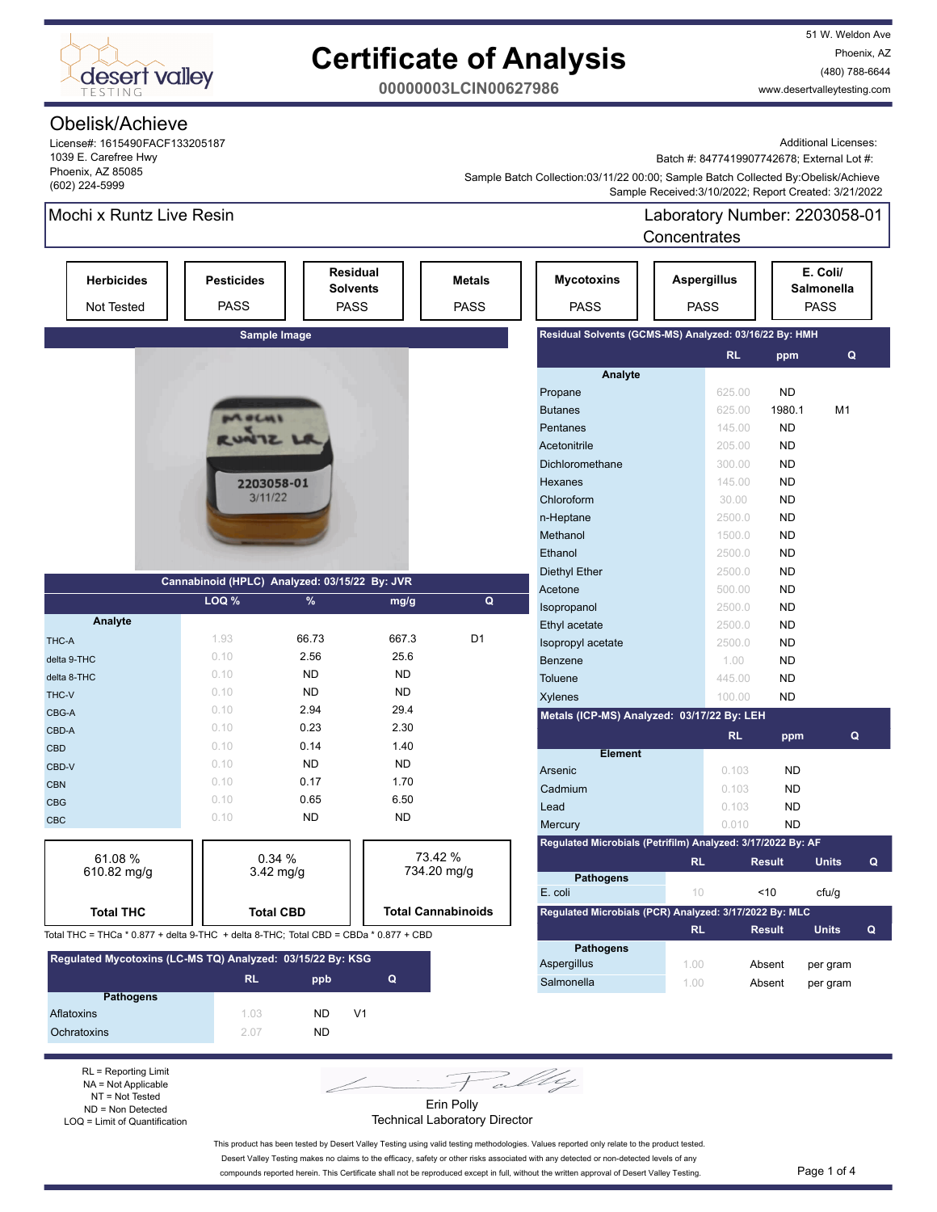

51 W. Weldon Ave Phoenix, AZ (480) 788-6644 www.desertvalleytesting.com

**00000003LCIN00627986**

### Obelisk/Achieve

License#: 1615490FACF133205187 1039 E. Carefree Hwy Phoenix, AZ 85085 (602) 224-5999

Additional Licenses:

Batch #: 8477419907742678; External Lot #:

 Sample Received:3/10/2022; Report Created: 3/21/2022 Sample Batch Collection:03/11/22 00:00; Sample Batch Collected By:Obelisk/Achieve

### Mochi x Runtz Live Resin

Laboratory Number: 2203058-01 Concentrates

| <b>CUILEITU ALES</b>                                                                 |                                  |                                                   |           |                              |                                                             |                                   |                     |                                              |
|--------------------------------------------------------------------------------------|----------------------------------|---------------------------------------------------|-----------|------------------------------|-------------------------------------------------------------|-----------------------------------|---------------------|----------------------------------------------|
| <b>Herbicides</b><br>Not Tested                                                      | <b>Pesticides</b><br><b>PASS</b> | <b>Residual</b><br><b>Solvents</b><br><b>PASS</b> |           | <b>Metals</b><br><b>PASS</b> | <b>Mycotoxins</b><br><b>PASS</b>                            | <b>Aspergillus</b><br><b>PASS</b> |                     | E. Coli/<br><b>Salmonella</b><br><b>PASS</b> |
|                                                                                      |                                  | Sample Image                                      |           |                              | Residual Solvents (GCMS-MS) Analyzed: 03/16/22 By: HMH      |                                   |                     |                                              |
|                                                                                      |                                  |                                                   |           |                              |                                                             |                                   | <b>RL</b><br>ppm    | Q                                            |
|                                                                                      |                                  |                                                   |           |                              | Analyte                                                     |                                   |                     |                                              |
|                                                                                      |                                  |                                                   |           |                              | Propane                                                     |                                   | <b>ND</b><br>625.00 |                                              |
|                                                                                      |                                  |                                                   |           |                              | <b>Butanes</b>                                              |                                   | 625.00<br>1980.1    | M <sub>1</sub>                               |
|                                                                                      | MOLHI                            |                                                   |           |                              | Pentanes                                                    |                                   | ND<br>145.00        |                                              |
|                                                                                      |                                  |                                                   |           |                              | Acetonitrile                                                |                                   | 205.00<br>ND        |                                              |
|                                                                                      |                                  |                                                   |           |                              | Dichloromethane                                             |                                   | <b>ND</b><br>300.00 |                                              |
|                                                                                      |                                  | 2203058-01                                        |           |                              | Hexanes                                                     |                                   | <b>ND</b><br>145.00 |                                              |
|                                                                                      | 3/11/22                          |                                                   |           |                              | Chloroform                                                  |                                   | <b>ND</b><br>30.00  |                                              |
|                                                                                      |                                  |                                                   |           |                              | n-Heptane                                                   |                                   | 2500.0<br>ND        |                                              |
|                                                                                      |                                  |                                                   |           |                              | Methanol                                                    |                                   | <b>ND</b><br>1500.0 |                                              |
|                                                                                      |                                  |                                                   |           |                              | Ethanol                                                     |                                   | <b>ND</b><br>2500.0 |                                              |
|                                                                                      |                                  |                                                   |           |                              | <b>Diethyl Ether</b>                                        |                                   | <b>ND</b><br>2500.0 |                                              |
|                                                                                      |                                  | Cannabinoid (HPLC) Analyzed: 03/15/22 By: JVR     |           |                              | Acetone                                                     |                                   | 500.00<br>ND        |                                              |
|                                                                                      | LOQ %                            | %                                                 | mg/g      | $\mathbf Q$                  | Isopropanol                                                 |                                   | <b>ND</b><br>2500.0 |                                              |
| Analyte                                                                              |                                  |                                                   |           |                              | Ethyl acetate                                               |                                   | <b>ND</b><br>2500.0 |                                              |
| THC-A                                                                                | 1.93                             | 66.73                                             | 667.3     | D <sub>1</sub>               | Isopropyl acetate                                           |                                   | 2500.0<br><b>ND</b> |                                              |
| delta 9-THC                                                                          | 0.10                             | 2.56                                              | 25.6      |                              | Benzene                                                     |                                   | <b>ND</b><br>1.00   |                                              |
| delta 8-THC                                                                          | 0.10                             | <b>ND</b>                                         | <b>ND</b> |                              | Toluene                                                     |                                   | <b>ND</b><br>445.00 |                                              |
| THC-V                                                                                | 0.10                             | <b>ND</b>                                         | <b>ND</b> |                              | Xylenes                                                     |                                   | <b>ND</b><br>100.00 |                                              |
| CBG-A                                                                                | 0.10                             | 2.94                                              | 29.4      |                              | Metals (ICP-MS) Analyzed: 03/17/22 By: LEH                  |                                   |                     |                                              |
| CBD-A                                                                                | 0.10                             | 0.23                                              | 2.30      |                              |                                                             |                                   | <b>RL</b><br>ppm    | Q                                            |
| <b>CBD</b>                                                                           | 0.10                             | 0.14                                              | 1.40      |                              | <b>Element</b>                                              |                                   |                     |                                              |
| CBD-V                                                                                | 0.10                             | <b>ND</b>                                         | <b>ND</b> |                              | Arsenic                                                     |                                   | 0.103<br><b>ND</b>  |                                              |
| <b>CBN</b>                                                                           | 0.10                             | 0.17                                              | 1.70      |                              | Cadmium                                                     |                                   | 0.103<br><b>ND</b>  |                                              |
| <b>CBG</b>                                                                           | 0.10                             | 0.65                                              | 6.50      |                              | Lead                                                        |                                   | 0.103<br>ND.        |                                              |
| <b>CBC</b>                                                                           | 0.10                             | <b>ND</b>                                         | <b>ND</b> |                              | Mercury                                                     |                                   | 0.010<br><b>ND</b>  |                                              |
|                                                                                      |                                  |                                                   |           |                              | Regulated Microbials (Petrifilm) Analyzed: 3/17/2022 By: AF |                                   |                     |                                              |
| 61.08%                                                                               |                                  | 0.34%                                             |           | 73.42 %                      |                                                             | <b>RL</b>                         | <b>Result</b>       | <b>Units</b><br>Q                            |
| 610.82 mg/g                                                                          |                                  | 3.42 mg/g                                         |           | 734.20 mg/g                  | <b>Pathogens</b>                                            |                                   |                     |                                              |
|                                                                                      |                                  |                                                   |           |                              | E. coli                                                     | $10 -$                            | ~10                 | cfu/g                                        |
| <b>Total THC</b>                                                                     |                                  | <b>Total CBD</b>                                  |           | <b>Total Cannabinoids</b>    | Regulated Microbials (PCR) Analyzed: 3/17/2022 By: MLC      |                                   |                     |                                              |
| Total THC = THCa * 0.877 + delta 9-THC + delta 8-THC; Total CBD = CBDa * 0.877 + CBD |                                  |                                                   |           |                              |                                                             | <b>RL</b>                         | <b>Result</b>       | <b>Units</b><br>Q                            |
|                                                                                      |                                  |                                                   |           |                              | Pathoɑens                                                   |                                   |                     |                                              |

| Regulated Mycotoxins (LC-MS TQ) Analyzed: 03/15/22 By: KSG |           |     |    |  |  |  |
|------------------------------------------------------------|-----------|-----|----|--|--|--|
|                                                            | <b>RL</b> | ppb | Q  |  |  |  |
| <b>Pathogens</b>                                           |           |     |    |  |  |  |
| Aflatoxins                                                 | 103       | ND. | V1 |  |  |  |
| Ochratoxins                                                | 2.07      | ND. |    |  |  |  |

RL = Reporting Limit NA = Not Applicable NT = Not Tested ND = Non Detected LOQ = Limit of Quantification

Pally Erin Polly

Technical Laboratory Director

This product has been tested by Desert Valley Testing using valid testing methodologies. Values reported only relate to the product tested. Desert Valley Testing makes no claims to the efficacy, safety or other risks associated with any detected or non-detected levels of any compounds reported herein. This Certificate shall not be reproduced except in full, without the written approval of Desert Valley Testing. Page 1 of 4

Aspergillus 1.00 Absent per gram Salmonella 1.00 Absent per gram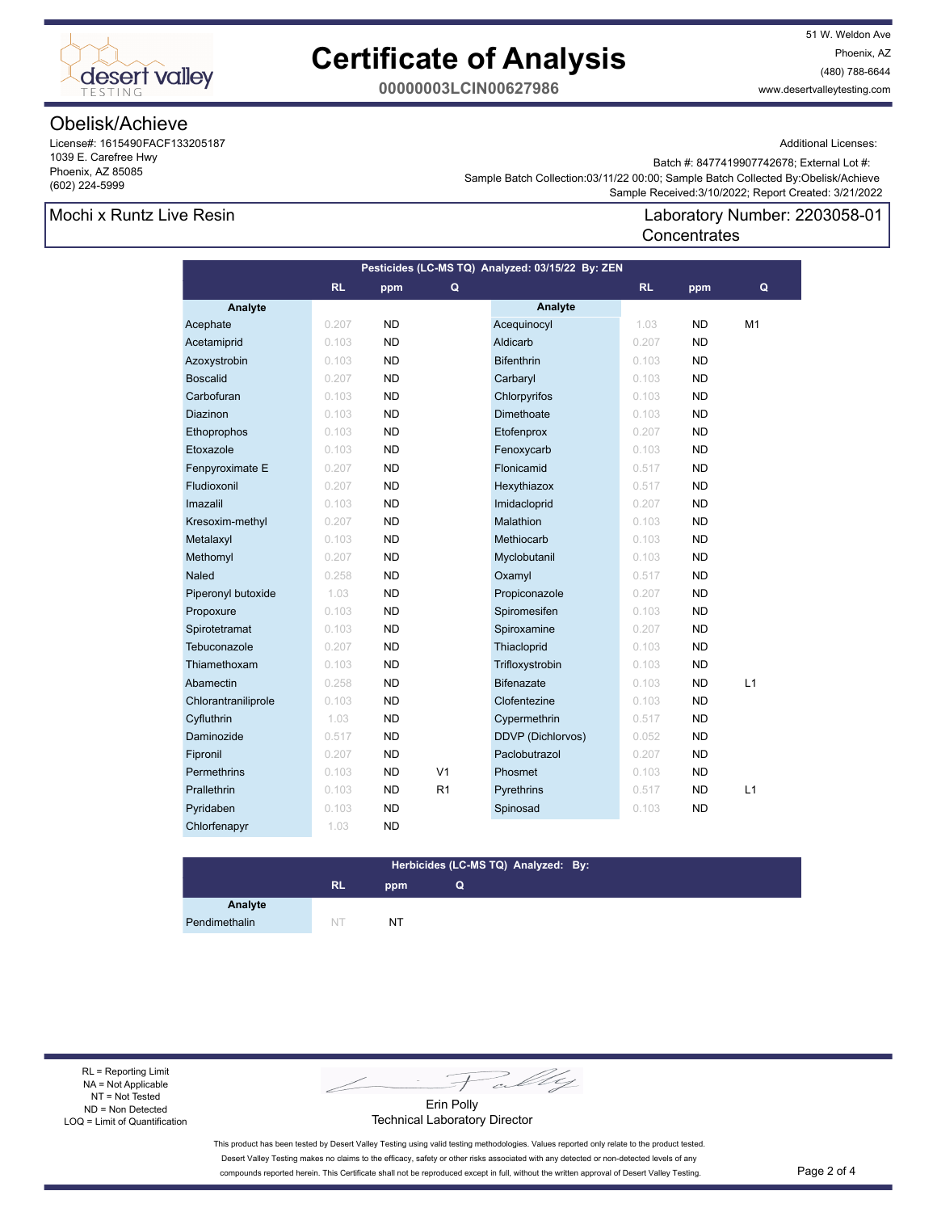

51 W. Weldon Ave Phoenix, AZ (480) 788-6644 www.desertvalleytesting.com

**00000003LCIN00627986**

# Obelisk/Achieve

License#: 1615490FACF133205187 1039 E. Carefree Hwy Phoenix, AZ 85085 (602) 224-5999

Additional Licenses:

 Sample Batch Collection:03/11/22 00:00; Sample Batch Collected By:Obelisk/Achieve Batch #: 8477419907742678; External Lot #:

**Concentrates** 

### Mochi x Runtz Live Resin

 Sample Received:3/10/2022; Report Created: 3/21/2022 Laboratory Number: 2203058-01

| Pesticides (LC-MS TQ) Analyzed: 03/15/22 By: ZEN |       |           |                |                   |           |           |    |
|--------------------------------------------------|-------|-----------|----------------|-------------------|-----------|-----------|----|
|                                                  | RL    | ppm       | Q              |                   | <b>RL</b> | ppm       | Q  |
| Analyte                                          |       |           |                | Analyte           |           |           |    |
| Acephate                                         | 0.207 | <b>ND</b> |                | Acequinocyl       | 1.03      | ND        | M1 |
| Acetamiprid                                      | 0.103 | <b>ND</b> |                | Aldicarb          | 0.207     | <b>ND</b> |    |
| Azoxystrobin                                     | 0.103 | <b>ND</b> |                | <b>Bifenthrin</b> | 0.103     | ND.       |    |
| <b>Boscalid</b>                                  | 0.207 | <b>ND</b> |                | Carbaryl          | 0.103     | <b>ND</b> |    |
| Carbofuran                                       | 0.103 | <b>ND</b> |                | Chlorpyrifos      | 0.103     | <b>ND</b> |    |
| Diazinon                                         | 0.103 | <b>ND</b> |                | Dimethoate        | 0.103     | <b>ND</b> |    |
| Ethoprophos                                      | 0.103 | <b>ND</b> |                | Etofenprox        | 0.207     | <b>ND</b> |    |
| Etoxazole                                        | 0.103 | <b>ND</b> |                | Fenoxycarb        | 0.103     | <b>ND</b> |    |
| Fenpyroximate E                                  | 0.207 | <b>ND</b> |                | Flonicamid        | 0.517     | <b>ND</b> |    |
| Fludioxonil                                      | 0.207 | <b>ND</b> |                | Hexythiazox       | 0.517     | ND.       |    |
| Imazalil                                         | 0.103 | <b>ND</b> |                | Imidacloprid      | 0.207     | <b>ND</b> |    |
| Kresoxim-methyl                                  | 0.207 | <b>ND</b> |                | Malathion         | 0.103     | <b>ND</b> |    |
| Metalaxyl                                        | 0.103 | <b>ND</b> |                | Methiocarb        | 0.103     | <b>ND</b> |    |
| Methomyl                                         | 0.207 | <b>ND</b> |                | Myclobutanil      | 0.103     | <b>ND</b> |    |
| Naled                                            | 0.258 | <b>ND</b> |                | Oxamyl            | 0.517     | <b>ND</b> |    |
| Piperonyl butoxide                               | 1.03  | <b>ND</b> |                | Propiconazole     | 0.207     | <b>ND</b> |    |
| Propoxure                                        | 0.103 | <b>ND</b> |                | Spiromesifen      | 0.103     | ND        |    |
| Spirotetramat                                    | 0.103 | <b>ND</b> |                | Spiroxamine       | 0.207     | <b>ND</b> |    |
| Tebuconazole                                     | 0.207 | <b>ND</b> |                | Thiacloprid       | 0.103     | <b>ND</b> |    |
| Thiamethoxam                                     | 0.103 | <b>ND</b> |                | Trifloxystrobin   | 0.103     | <b>ND</b> |    |
| Abamectin                                        | 0.258 | <b>ND</b> |                | <b>Bifenazate</b> | 0.103     | <b>ND</b> | L1 |
| Chlorantraniliprole                              | 0.103 | <b>ND</b> |                | Clofentezine      | 0.103     | ND.       |    |
| Cyfluthrin                                       | 1.03  | <b>ND</b> |                | Cypermethrin      | 0.517     | <b>ND</b> |    |
| Daminozide                                       | 0.517 | <b>ND</b> |                | DDVP (Dichlorvos) | 0.052     | <b>ND</b> |    |
| Fipronil                                         | 0.207 | <b>ND</b> |                | Paclobutrazol     | 0.207     | <b>ND</b> |    |
| <b>Permethrins</b>                               | 0.103 | <b>ND</b> | V <sub>1</sub> | Phosmet           | 0.103     | <b>ND</b> |    |
| Prallethrin                                      | 0.103 | <b>ND</b> | R <sub>1</sub> | Pyrethrins        | 0.517     | <b>ND</b> | L1 |
| Pyridaben                                        | 0.103 | <b>ND</b> |                | Spinosad          | 0.103     | ND        |    |
| Chlorfenapyr                                     | 1.03  | <b>ND</b> |                |                   |           |           |    |

#### **RL ppm Herbicides (LC-MS TQ) Analyzed: By: Q**

**Analyte** Pendimethalin NT NT NT

RL = Reporting Limit NA = Not Applicable NT = Not Tested ND = Non Detected LOQ = Limit of Quantification

Fally

Erin Polly Technical Laboratory Director

This product has been tested by Desert Valley Testing using valid testing methodologies. Values reported only relate to the product tested. Desert Valley Testing makes no claims to the efficacy, safety or other risks associated with any detected or non-detected levels of any compounds reported herein. This Certificate shall not be reproduced except in full, without the written approval of Desert Valley Testing. Page 2 of 4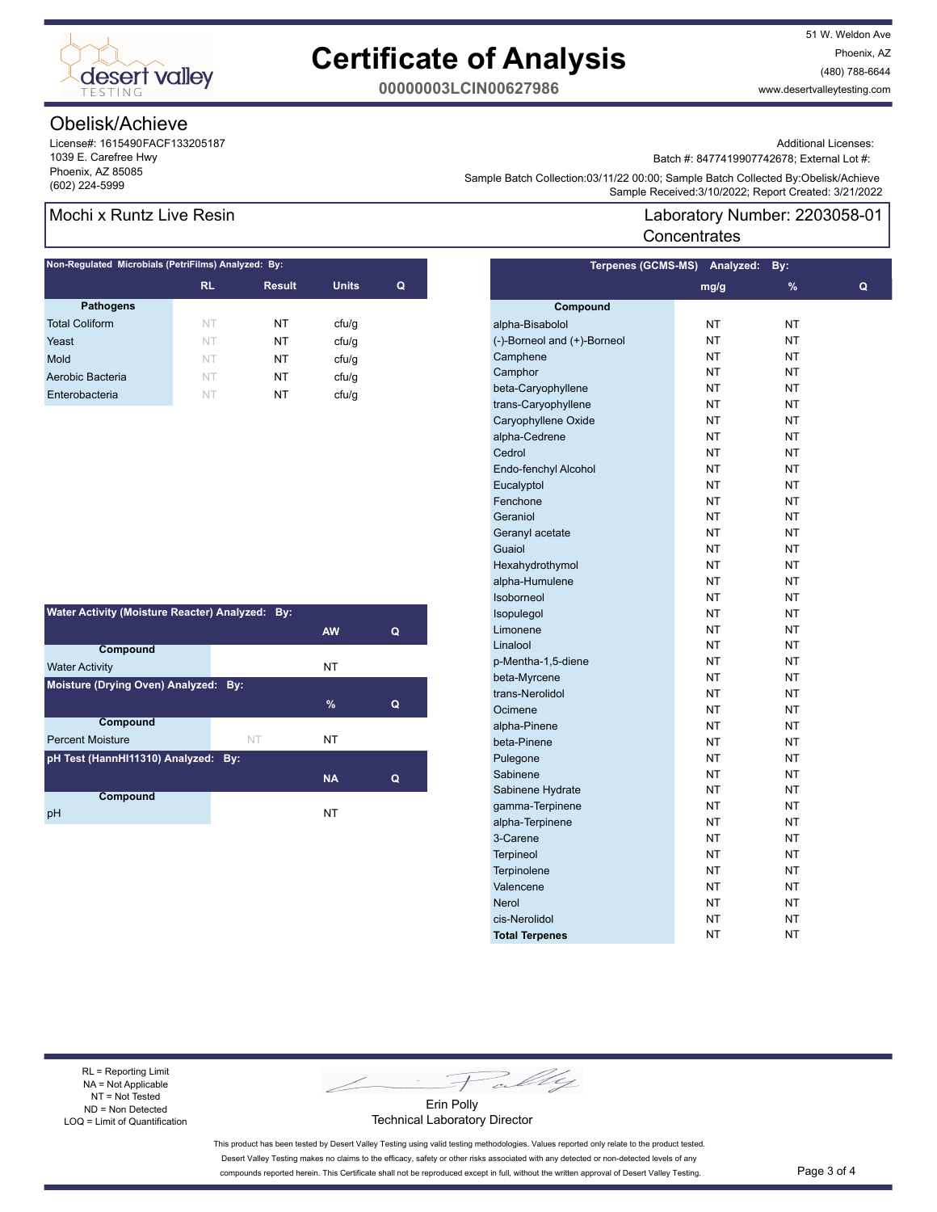

51 W. Weldon Ave Phoenix, AZ (480) 788-6644 www.desertvalleytesting.com

**00000003LCIN00627986**

# Obelisk/Achieve

License#: 1615490FACF133205187 1039 E. Carefree Hwy Phoenix, AZ 85085

Additional Licenses:

Batch #: 8477419907742678; External Lot #:

Laboratory Number: 2203058-01

Sample Batter Collection.03/11/22 00.00, Sample Batter Collection (602)<br>Sample Received:3/10/2022; Report Created: 3/21/2022 Sample Batch Collection:03/11/22 00:00; Sample Batch Collected By:Obelisk/Achieve

**Terpenes (GCMS-MS) Analyzed: By:** 

**Concentrates** 

### Mochi x Runtz Live Resin

| Non-Regulated Microbials (PetriFilms) Analyzed: By: |           |               |              |   |  |  |  |
|-----------------------------------------------------|-----------|---------------|--------------|---|--|--|--|
|                                                     | <b>RL</b> | <b>Result</b> | <b>Units</b> | Q |  |  |  |
| <b>Pathogens</b>                                    |           |               |              |   |  |  |  |
| <b>Total Coliform</b>                               | NT        | NT            | ctu/g        |   |  |  |  |
| Yeast                                               | NT        | NΤ            | cfu/g        |   |  |  |  |
| Mold                                                | NT        | NT            | cfu/q        |   |  |  |  |
| Aerobic Bacteria                                    | NT        | NT            | ctu/g        |   |  |  |  |
| Enterobacteria                                      | NT        | NT            | cfu/q        |   |  |  |  |

| Water Activity (Moisture Reacter) Analyzed: By: |    |           |   |  |  |  |
|-------------------------------------------------|----|-----------|---|--|--|--|
|                                                 |    | <b>AW</b> | Q |  |  |  |
| Compound                                        |    |           |   |  |  |  |
| <b>Water Activity</b>                           |    | NT        |   |  |  |  |
| Moisture (Drying Oven) Analyzed: By:            |    |           |   |  |  |  |
|                                                 |    | $\%$      | Q |  |  |  |
| <b>Compound</b>                                 |    |           |   |  |  |  |
| <b>Percent Moisture</b>                         | NT | NΤ        |   |  |  |  |
| pH Test (HannHI11310) Analyzed: By:             |    |           |   |  |  |  |
|                                                 |    | <b>NA</b> | Q |  |  |  |
| Compound                                        |    |           |   |  |  |  |
| рH                                              |    | NT        |   |  |  |  |

| $\cdots$                    | .         |               |   |
|-----------------------------|-----------|---------------|---|
|                             | mg/g      | $\frac{9}{6}$ | Q |
| Compound                    |           |               |   |
| alpha-Bisabolol             | NΤ        | NΤ            |   |
| (-)-Borneol and (+)-Borneol | NT        | NT            |   |
| Camphene                    | NT        | <b>NT</b>     |   |
| Camphor                     | NΤ        | NT            |   |
| beta-Caryophyllene          | NT        | NΤ            |   |
| trans-Caryophyllene         | NΤ        | NΤ            |   |
| Caryophyllene Oxide         | NT        | NT            |   |
| alpha-Cedrene               | NT        | <b>NT</b>     |   |
| Cedrol                      | NT        | NT            |   |
| Endo-fenchyl Alcohol        | NT        | NT            |   |
| Eucalyptol                  | NΤ        | NT            |   |
| Fenchone                    | <b>NT</b> | <b>NT</b>     |   |
| Geraniol                    | NΤ        | NT            |   |
| Geranyl acetate             | NΤ        | NΤ            |   |
| Guaiol                      | NT        | NΤ            |   |
| Hexahydrothymol             | NT        | NT            |   |
| alpha-Humulene              | NT        | <b>NT</b>     |   |
| Isoborneol                  | NΤ        | ΝT            |   |
| Isopulegol                  | NT        | <b>NT</b>     |   |
| Limonene                    | NΤ        | NT            |   |
| Linalool                    | NT        | NT            |   |
| p-Mentha-1,5-diene          | NT        | NT            |   |
| beta-Myrcene                | ΝT        | NT            |   |
| trans-Nerolidol             | NT        | NΤ            |   |
| Ocimene                     | NΤ        | <b>NT</b>     |   |
| alpha-Pinene                | <b>NT</b> | <b>NT</b>     |   |
| beta-Pinene                 | NΤ        | NT            |   |
| Pulegone                    | NΤ        | NT            |   |
| Sabinene                    | NT        | NT            |   |
| Sabinene Hydrate            | NT        | NT            |   |
| gamma-Terpinene             | <b>NT</b> | NT            |   |
| alpha-Terpinene             | ΝT        | NT            |   |
| 3-Carene                    | NΤ        | NΤ            |   |
| <b>Terpineol</b>            | <b>NT</b> | <b>NT</b>     |   |
| Terpinolene                 | NT        | NT            |   |
| Valencene                   | NΤ        | NT            |   |
| <b>Nerol</b>                | NΤ        | ΝT            |   |
| cis-Nerolidol               | NΤ        | NΤ            |   |
| <b>Total Terpenes</b>       | NΤ        | NT            |   |
|                             |           |               |   |

RL = Reporting Limit NA = Not Applicable NT = Not Tested ND = Non Detected LOQ = Limit of Quantification

Fally

Erin Polly Technical Laboratory Director

This product has been tested by Desert Valley Testing using valid testing methodologies. Values reported only relate to the product tested. Desert Valley Testing makes no claims to the efficacy, safety or other risks associated with any detected or non-detected levels of any compounds reported herein. This Certificate shall not be reproduced except in full, without the written approval of Desert Valley Testing. Page 3 of 4